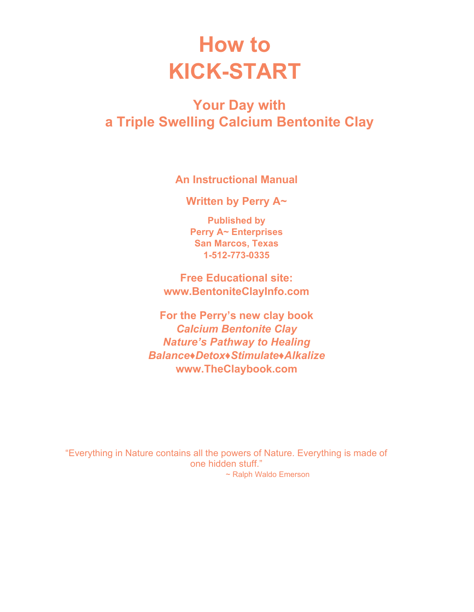# **How to KICK-START**

**Your Day with a Triple Swelling Calcium Bentonite Clay**

**An Instructional Manual** 

**Written by Perry A~** 

**Published by Perry A~ Enterprises San Marcos, Texas 1-512-773-0335**

**Free Educational site: www.BentoniteClayInfo.com** 

**For the Perry's new clay book**  *Calcium Bentonite Clay Nature's Pathway to Healing Balance♦Detox♦[Stimulate](http://www.bentoniteclayinfo.com/)♦Alkalize*  **www.TheClaybook.com** 

"Everything in Nature contains all the powers of Nature. Everything is made of one hidden stuff." ~ Ralph Waldo Emerson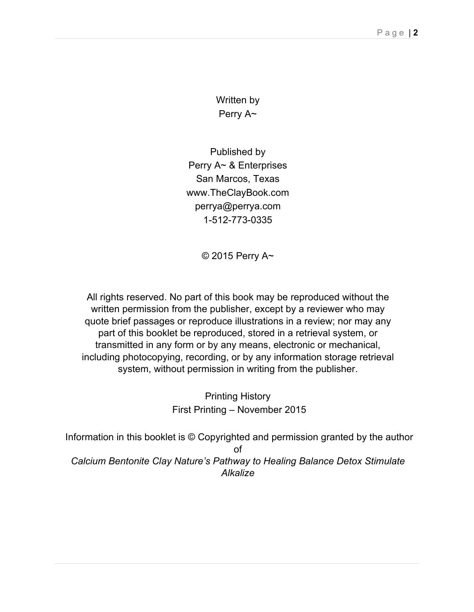Written by Perry A~

Published by Perry A~ & Enterprises San Marcos, Texas www.TheClayBook.com perrya@perrya.com 1-512-773-0335

© 2015 Perry A~

All rights reserved. No part of this book may be reproduced without the written permission from the publisher, except by a reviewer who may quote brief passages or reproduce illustrations in a review; nor may any part of this booklet be reproduced, stored in a retrieval system, or transmitted in any form or by any means, electronic or mechanical, including photocopying, recording, or by any information storage retrieval system, without permission in writing from the publisher.

> Printing History First Printing – November 2015

Information in this booklet is © Copyrighted and permission granted by the author of *Calcium Bentonite Clay Nature's Pathway to Healing Balance Detox Stimulate Alkalize*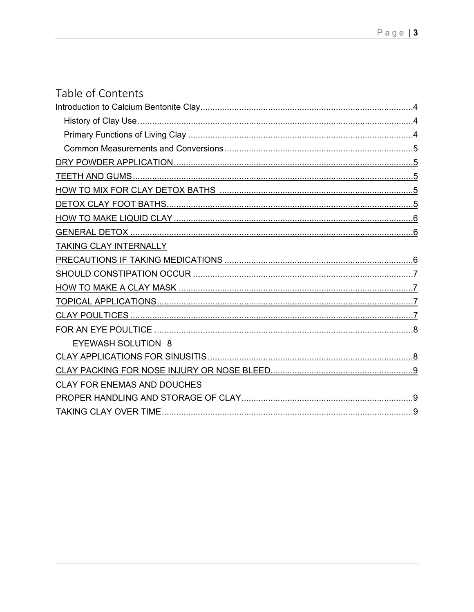# Table of Contents

| <b>TAKING CLAY INTERNALLY</b> |
|-------------------------------|
|                               |
|                               |
|                               |
|                               |
|                               |
|                               |
| <b>EYEWASH SOLUTION 8</b>     |
|                               |
|                               |
| CLAY FOR ENEMAS AND DOUCHES   |
|                               |
|                               |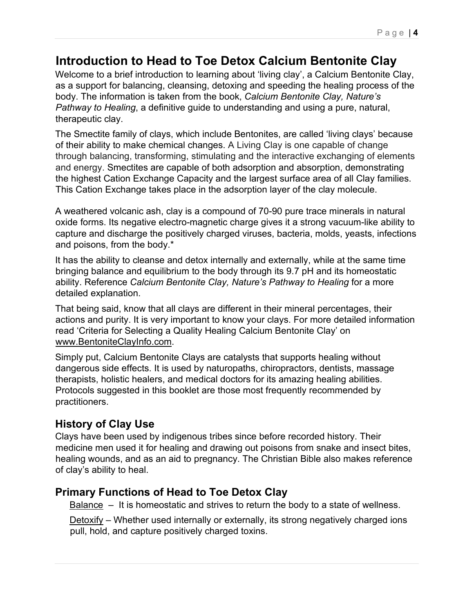# <span id="page-3-0"></span>**Introduction to Head to Toe Detox Calcium Bentonite Clay**

Welcome to a brief introduction to learning about 'living clay', a Calcium Bentonite Clay, as a support for balancing, cleansing, detoxing and speeding the healing process of the body. The information is taken from the book, *Calcium Bentonite Clay, Nature's Pathway to Healing*, a definitive guide to understanding and using a pure, natural, therapeutic clay.

The Smectite family of clays, which include Bentonites, are called 'living clays' because of their ability to make chemical changes. A Living Clay is one capable of change through balancing, transforming, stimulating and the interactive exchanging of elements and energy. Smectites are capable of both adsorption and absorption, demonstrating the highest Cation Exchange Capacity and the largest surface area of all Clay families. This Cation Exchange takes place in the adsorption layer of the clay molecule.

A weathered volcanic ash, clay is a compound of 70-90 pure trace minerals in natural oxide forms. Its negative electro-magnetic charge gives it a strong vacuum-like ability to capture and discharge the positively charged viruses, bacteria, molds, yeasts, infections and poisons, from the body.\*

It has the ability to cleanse and detox internally and externally, while at the same time bringing balance and equilibrium to the body through its 9.7 pH and its homeostatic ability. Reference *Calcium Bentonite Clay, Nature's Pathway to Healing* for a more detailed explanation.

That being said, know that all clays are different in their mineral percentages, their actions and purity. It is very important to know your clays. For more detailed information read 'Criteria for Selecting a Quality Healing Calcium Bentonite Clay' on www.BentoniteClayInfo.com.

Simply put, Calcium Bentonite Clays are catalysts that supports healing without dangerous side effects. It is used by naturopaths, chiropractors, dentists, massage therapists, holistic healers, and medical doctors for its amazing healing abilities. Protocols suggested in this booklet are those most frequently recommended by practitioners.

# <span id="page-3-1"></span>**History of Clay Use**

Clays have been used by indigenous tribes since before recorded history. Their medicine men used it for healing and drawing out poisons from snake and insect bites, healing wounds, and as an aid to pregnancy. The Christian Bible also makes reference of clay's ability to heal.

# <span id="page-3-2"></span>**Primary Functions of Head to Toe Detox Clay**

 $Balance - It is homeostatic and strikes to return the body to a state of wellness.$ 

Detoxify – Whether used internally or externally, its strong negatively charged ions pull, hold, and capture positively charged toxins.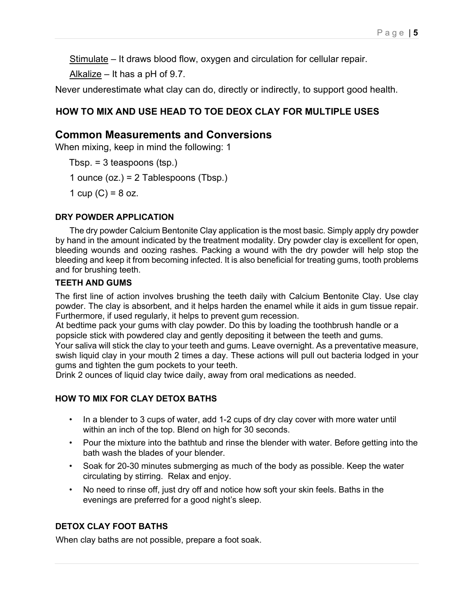Stimulate – It draws blood flow, oxygen and circulation for cellular repair.

Alkalize – It has a pH of 9.7.

Never underestimate what clay can do, directly or indirectly, to support good health.

# **HOW TO MIX AND USE HEAD TO TOE DEOX CLAY FOR MULTIPLE USES**

# <span id="page-4-0"></span>**Common Measurements and Conversions**

When mixing, keep in mind the following: 1

Tbsp.  $=$  3 teaspoons (tsp.)

1 ounce (oz.) = 2 Tablespoons (Tbsp.)

1 cup  $(C) = 8$  oz.

# <span id="page-4-1"></span>**DRY POWDER APPLICATION**

 The dry powder Calcium Bentonite Clay application is the most basic. Simply apply dry powder by hand in the amount indicated by the treatment modality. Dry powder clay is excellent for open, bleeding wounds and oozing rashes. Packing a wound with the dry powder will help stop the bleeding and keep it from becoming infected. It is also beneficial for treating gums, tooth problems and for brushing teeth.

# <span id="page-4-2"></span>**TEETH AND GUMS**

The first line of action involves brushing the teeth daily with Calcium Bentonite Clay. Use clay powder. The clay is absorbent, and it helps harden the enamel while it aids in gum tissue repair. Furthermore, if used regularly, it helps to prevent gum recession.

At bedtime pack your gums with clay powder. Do this by loading the toothbrush handle or a popsicle stick with powdered clay and gently depositing it between the teeth and gums. Your saliva will stick the clay to your teeth and gums. Leave overnight. As a preventative measure, swish liquid clay in your mouth 2 times a day. These actions will pull out bacteria lodged in your gums and tighten the gum pockets to your teeth.

Drink 2 ounces of liquid clay twice daily, away from oral medications as needed.

# <span id="page-4-3"></span>**HOW TO MIX FOR CLAY DETOX BATHS**

- In a blender to 3 cups of water, add 1-2 cups of dry clay cover with more water until within an inch of the top. Blend on high for 30 seconds.
- Pour the mixture into the bathtub and rinse the blender with water. Before getting into the bath wash the blades of your blender.
- Soak for 20-30 minutes submerging as much of the body as possible. Keep the water circulating by stirring. Relax and enjoy.
- No need to rinse off, just dry off and notice how soft your skin feels. Baths in the evenings are preferred for a good night's sleep.

# <span id="page-4-4"></span>**DETOX CLAY FOOT BATHS**

When clay baths are not possible, prepare a foot soak.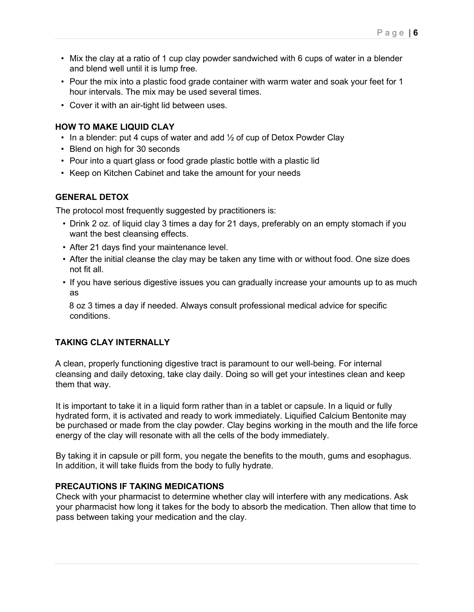- Mix the clay at a ratio of 1 cup clay powder sandwiched with 6 cups of water in a blender and blend well until it is lump free.
- Pour the mix into a plastic food grade container with warm water and soak your feet for 1 hour intervals. The mix may be used several times.
- Cover it with an air-tight lid between uses.

#### <span id="page-5-0"></span>**HOW TO MAKE LIQUID CLAY**

- In a blender: put 4 cups of water and add  $\frac{1}{2}$  of cup of Detox Powder Clay
- Blend on high for 30 seconds
- Pour into a quart glass or food grade plastic bottle with a plastic lid
- Keep on Kitchen Cabinet and take the amount for your needs

#### <span id="page-5-1"></span>**GENERAL DETOX**

The protocol most frequently suggested by practitioners is:

- Drink 2 oz. of liquid clay 3 times a day for 21 days, preferably on an empty stomach if you want the best cleansing effects.
- After 21 days find your maintenance level.
- After the initial cleanse the clay may be taken any time with or without food. One size does not fit all.
- If you have serious digestive issues you can gradually increase your amounts up to as much as

8 oz 3 times a day if needed. Always consult professional medical advice for specific conditions.

#### **TAKING CLAY INTERNALLY**

A clean, properly functioning digestive tract is paramount to our well-being. For internal cleansing and daily detoxing, take clay daily. Doing so will get your intestines clean and keep them that way.

It is important to take it in a liquid form rather than in a tablet or capsule. In a liquid or fully hydrated form, it is activated and ready to work immediately. Liquified Calcium Bentonite may be purchased or made from the clay powder. Clay begins working in the mouth and the life force energy of the clay will resonate with all the cells of the body immediately.

By taking it in capsule or pill form, you negate the benefits to the mouth, gums and esophagus. In addition, it will take fluids from the body to fully hydrate.

#### <span id="page-5-2"></span>**PRECAUTIONS IF TAKING MEDICATIONS**

Check with your pharmacist to determine whether clay will interfere with any medications. Ask your pharmacist how long it takes for the body to absorb the medication. Then allow that time to pass between taking your medication and the clay.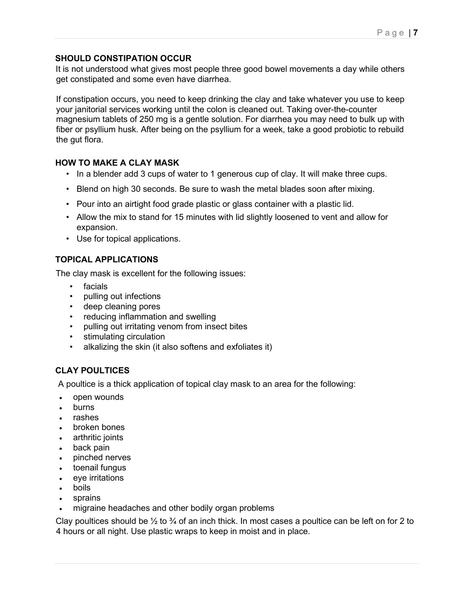#### <span id="page-6-0"></span>**SHOULD CONSTIPATION OCCUR**

It is not understood what gives most people three good bowel movements a day while others get constipated and some even have diarrhea.

If constipation occurs, you need to keep drinking the clay and take whatever you use to keep your janitorial services working until the colon is cleaned out. Taking over-the-counter magnesium tablets of 250 mg is a gentle solution. For diarrhea you may need to bulk up with fiber or psyllium husk. After being on the psyllium for a week, take a good probiotic to rebuild the gut flora.

# <span id="page-6-1"></span>**HOW TO MAKE A CLAY MASK**

- In a blender add 3 cups of water to 1 generous cup of clay. It will make three cups.
- Blend on high 30 seconds. Be sure to wash the metal blades soon after mixing.
- Pour into an airtight food grade plastic or glass container with a plastic lid.
- Allow the mix to stand for 15 minutes with lid slightly loosened to vent and allow for expansion.
- Use for topical applications.

# <span id="page-6-2"></span>**TOPICAL APPLICATIONS**

The clay mask is excellent for the following issues:

- facials
- pulling out infections
- deep cleaning pores
- reducing inflammation and swelling
- pulling out irritating venom from insect bites
- stimulating circulation
- alkalizing the skin (it also softens and exfoliates it)

# <span id="page-6-3"></span>**CLAY POULTICES**

A poultice is a thick application of topical clay mask to an area for the following:

- open wounds
- burns
- rashes
- broken bones
- arthritic joints
- back pain
- pinched nerves
- toenail fungus
- eye irritations
- boils
- **sprains**
- migraine headaches and other bodily organ problems

Clay poultices should be  $\frac{1}{2}$  to  $\frac{3}{4}$  of an inch thick. In most cases a poultice can be left on for 2 to 4 hours or all night. Use plastic wraps to keep in moist and in place.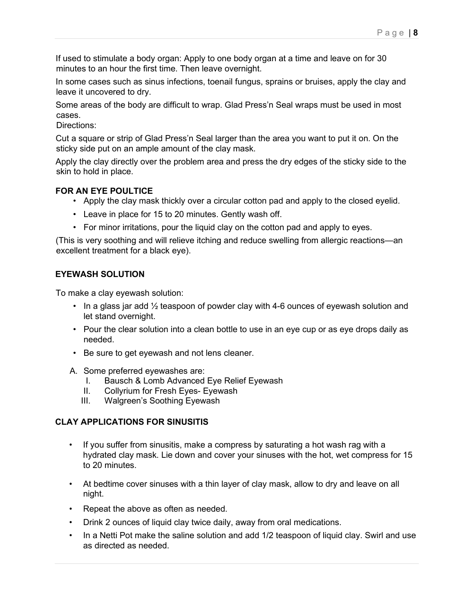If used to stimulate a body organ: Apply to one body organ at a time and leave on for 30 minutes to an hour the first time. Then leave overnight.

In some cases such as sinus infections, toenail fungus, sprains or bruises, apply the clay and leave it uncovered to dry.

Some areas of the body are difficult to wrap. Glad Press'n Seal wraps must be used in most cases.

Directions:

Cut a square or strip of Glad Press'n Seal larger than the area you want to put it on. On the sticky side put on an ample amount of the clay mask.

Apply the clay directly over the problem area and press the dry edges of the sticky side to the skin to hold in place.

#### <span id="page-7-0"></span>**FOR AN EYE POULTICE**

- Apply the clay mask thickly over a circular cotton pad and apply to the closed eyelid.
- Leave in place for 15 to 20 minutes. Gently wash off.
- For minor irritations, pour the liquid clay on the cotton pad and apply to eyes.

(This is very soothing and will relieve itching and reduce swelling from allergic reactions—an excellent treatment for a black eye).

# <span id="page-7-1"></span>**EYEWASH SOLUTION**

To make a clay eyewash solution:

- In a glass jar add  $\frac{1}{2}$  teaspoon of powder clay with 4-6 ounces of eyewash solution and let stand overnight.
- Pour the clear solution into a clean bottle to use in an eye cup or as eye drops daily as needed.
- Be sure to get eyewash and not lens cleaner.
- A. Some preferred eyewashes are:
	- I. Bausch & Lomb Advanced Eye Relief Eyewash
	- II. Collyrium for Fresh Eyes- Eyewash
	- III. Walgreen's Soothing Eyewash

#### <span id="page-7-2"></span>**CLAY APPLICATIONS FOR SINUSITIS**

- If you suffer from sinusitis, make a compress by saturating a hot wash rag with a hydrated clay mask. Lie down and cover your sinuses with the hot, wet compress for 15 to 20 minutes.
- At bedtime cover sinuses with a thin layer of clay mask, allow to dry and leave on all night.
- Repeat the above as often as needed.
- Drink 2 ounces of liquid clay twice daily, away from oral medications.
- In a Netti Pot make the saline solution and add 1/2 teaspoon of liquid clay. Swirl and use as directed as needed.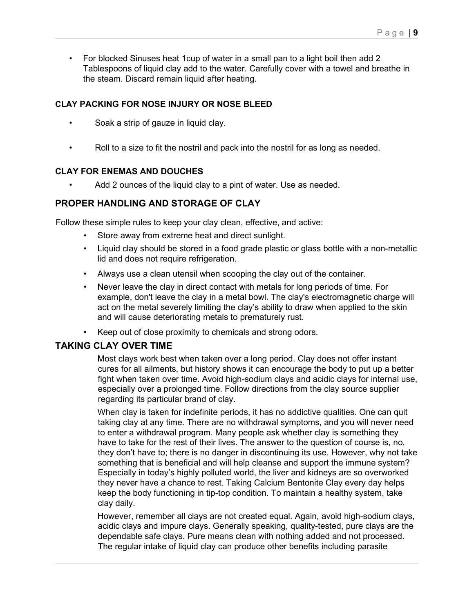• For blocked Sinuses heat 1cup of water in a small pan to a light boil then add 2 Tablespoons of liquid clay add to the water. Carefully cover with a towel and breathe in the steam. Discard remain liquid after heating.

#### <span id="page-8-0"></span>**CLAY PACKING FOR NOSE INJURY OR NOSE BLEED**

- Soak a strip of gauze in liquid clay.
- Roll to a size to fit the nostril and pack into the nostril for as long as needed.

#### **CLAY FOR ENEMAS AND DOUCHES**

• Add 2 ounces of the liquid clay to a pint of water. Use as needed.

# <span id="page-8-1"></span>**PROPER HANDLING AND STORAGE OF CLAY**

Follow these simple rules to keep your clay clean, effective, and active:

- Store away from extreme heat and direct sunlight.
- Liquid clay should be stored in a food grade plastic or glass bottle with a non-metallic lid and does not require refrigeration.
- Always use a clean utensil when scooping the clay out of the container.
- Never leave the clay in direct contact with metals for long periods of time. For example, don't leave the clay in a metal bowl. The clay's electromagnetic charge will act on the metal severely limiting the clay's ability to draw when applied to the skin and will cause deteriorating metals to prematurely rust.
- Keep out of close proximity to chemicals and strong odors.

# <span id="page-8-2"></span>**TAKING CLAY OVER TIME**

Most clays work best when taken over a long period. Clay does not offer instant cures for all ailments, but history shows it can encourage the body to put up a better fight when taken over time. Avoid high-sodium clays and acidic clays for internal use, especially over a prolonged time. Follow directions from the clay source supplier regarding its particular brand of clay.

When clay is taken for indefinite periods, it has no addictive qualities. One can quit taking clay at any time. There are no withdrawal symptoms, and you will never need to enter a withdrawal program. Many people ask whether clay is something they have to take for the rest of their lives. The answer to the question of course is, no, they don't have to; there is no danger in discontinuing its use. However, why not take something that is beneficial and will help cleanse and support the immune system? Especially in today's highly polluted world, the liver and kidneys are so overworked they never have a chance to rest. Taking Calcium Bentonite Clay every day helps keep the body functioning in tip-top condition. To maintain a healthy system, take clay daily.

However, remember all clays are not created equal. Again, avoid high-sodium clays, acidic clays and impure clays. Generally speaking, quality-tested, pure clays are the dependable safe clays. Pure means clean with nothing added and not processed. The regular intake of liquid clay can produce other benefits including parasite